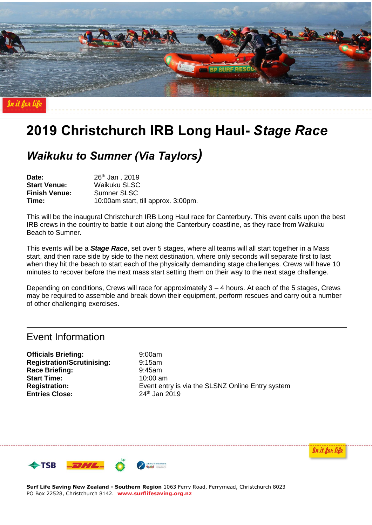

# **2019 Christchurch IRB Long Haul-** *Stage Race*

# *Waikuku to Sumner (Via Taylors)*

**Date:** 26th Jan , 2019 **Start Venue:** Waikuku SLSC **Finish Venue:** Sumner SLSC **Time:** 10:00am start, till approx. 3:00pm.

This will be the inaugural Christchurch IRB Long Haul race for Canterbury. This event calls upon the best IRB crews in the country to battle it out along the Canterbury coastline, as they race from Waikuku Beach to Sumner.

This events will be a *Stage Race*, set over 5 stages, where all teams will all start together in a Mass start, and then race side by side to the next destination, where only seconds will separate first to last when they hit the beach to start each of the physically demanding stage challenges. Crews will have 10 minutes to recover before the next mass start setting them on their way to the next stage challenge.

Depending on conditions, Crews will race for approximately 3 – 4 hours. At each of the 5 stages, Crews may be required to assemble and break down their equipment, perform rescues and carry out a number of other challenging exercises.

# Event Information

**Officials Briefing:** 9:00am **Registration/Scrutinising:** 9:15am **Race Briefing:** 9:45am **Start Time:** 10:00 am **Entries Close:** 24<sup>th</sup> Jan 2019

**Registration:** Event entry is via the SLSNZ Online Entry system

In it for lif



**Surf Life Saving New Zealand - Southern Region** 1063 Ferry Road, Ferrymead, Christchurch 8023 PO Box 22528, Christchurch 8142. **www.surflifesaving.org.nz**